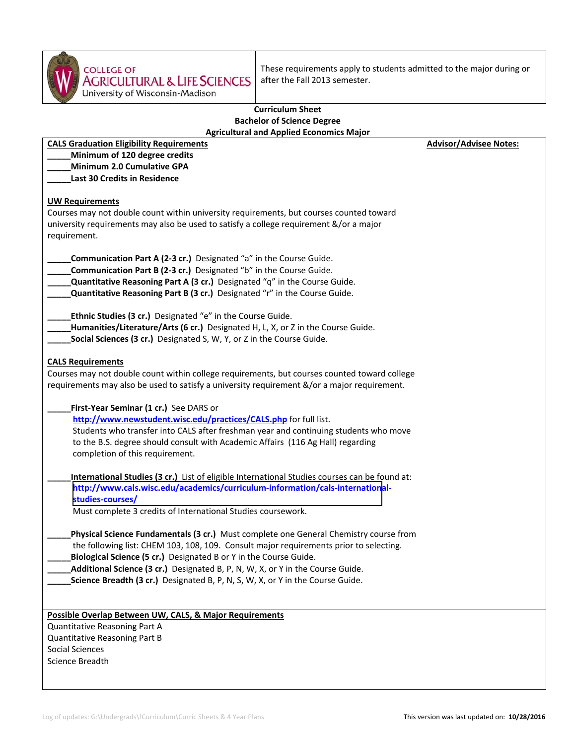

COLLEGE OF<br>AGRICULTURAL & LIFE SCIENCES<br>University of Wisconsin-Madison These requirements apply to students admitted to the major during or after the Fall 2013 semester.

## **Curriculum Sheet Bachelor of Science Degree Agricultural and Applied Economics Major**

| <b>CALS Graduation Eligibility Requirements</b>                                                                                                                                                                                                                                                                                                                                                                          | <b>Advisor/Advisee Notes:</b> |
|--------------------------------------------------------------------------------------------------------------------------------------------------------------------------------------------------------------------------------------------------------------------------------------------------------------------------------------------------------------------------------------------------------------------------|-------------------------------|
| Minimum of 120 degree credits                                                                                                                                                                                                                                                                                                                                                                                            |                               |
| <b>Minimum 2.0 Cumulative GPA</b>                                                                                                                                                                                                                                                                                                                                                                                        |                               |
| <b>Last 30 Credits in Residence</b>                                                                                                                                                                                                                                                                                                                                                                                      |                               |
|                                                                                                                                                                                                                                                                                                                                                                                                                          |                               |
| <b>UW Requirements</b><br>Courses may not double count within university requirements, but courses counted toward<br>university requirements may also be used to satisfy a college requirement &/or a major<br>requirement.                                                                                                                                                                                              |                               |
| Communication Part A (2-3 cr.) Designated "a" in the Course Guide.<br>Communication Part B (2-3 cr.) Designated "b" in the Course Guide.<br><b>Quantitative Reasoning Part A (3 cr.)</b> Designated "q" in the Course Guide.<br>Quantitative Reasoning Part B (3 cr.) Designated "r" in the Course Guide.                                                                                                                |                               |
| <b>Ethnic Studies (3 cr.)</b> Designated "e" in the Course Guide.<br>Humanities/Literature/Arts (6 cr.) Designated H, L, X, or Z in the Course Guide.<br>Social Sciences (3 cr.) Designated S, W, Y, or Z in the Course Guide.                                                                                                                                                                                           |                               |
| <b>CALS Requirements</b><br>Courses may not double count within college requirements, but courses counted toward college<br>requirements may also be used to satisfy a university requirement &/or a major requirement.                                                                                                                                                                                                  |                               |
| First-Year Seminar (1 cr.) See DARS or<br>http://www.newstudent.wisc.edu/practices/CALS.php for full list.<br>Students who transfer into CALS after freshman year and continuing students who move<br>to the B.S. degree should consult with Academic Affairs (116 Ag Hall) regarding<br>completion of this requirement.                                                                                                 |                               |
| International Studies (3 cr.) List of eligible International Studies courses can be found at:<br>http://www.cals.wisc.edu/academics/curriculum-information/cals-international-<br>studies-courses/<br>Must complete 3 credits of International Studies coursework.                                                                                                                                                       |                               |
| Physical Science Fundamentals (3 cr.) Must complete one General Chemistry course from<br>the following list: CHEM 103, 108, 109. Consult major requirements prior to selecting.<br>Biological Science (5 cr.) Designated B or Y in the Course Guide.<br>Additional Science (3 cr.) Designated B, P, N, W, X, or Y in the Course Guide.<br>Science Breadth (3 cr.) Designated B, P, N, S, W, X, or Y in the Course Guide. |                               |
| Possible Overlap Between UW, CALS, & Major Requirements<br>Quantitative Reasoning Part A<br>Quantitative Reasoning Part B<br>Social Sciences<br>Science Breadth                                                                                                                                                                                                                                                          |                               |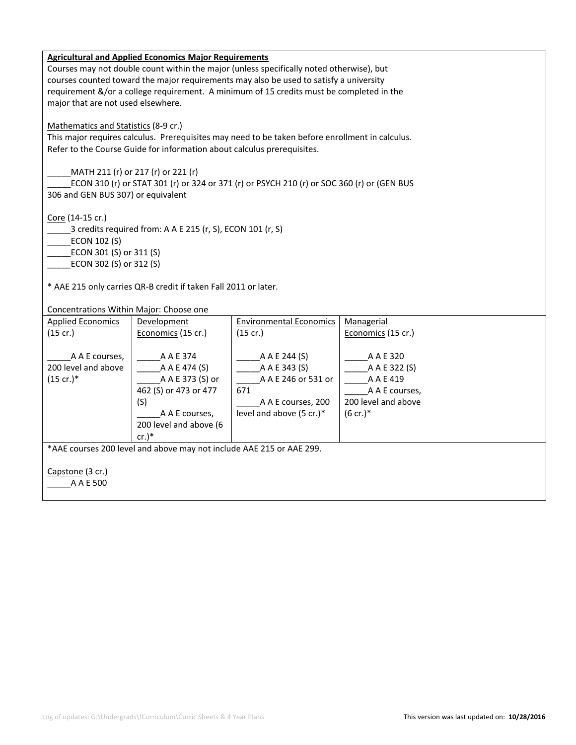|                                         | <b>Agricultural and Applied Economics Major Requirements</b>            |                                                                                                 |                     |
|-----------------------------------------|-------------------------------------------------------------------------|-------------------------------------------------------------------------------------------------|---------------------|
|                                         |                                                                         | Courses may not double count within the major (unless specifically noted otherwise), but        |                     |
|                                         |                                                                         | courses counted toward the major requirements may also be used to satisfy a university          |                     |
|                                         |                                                                         | requirement &/or a college requirement. A minimum of 15 credits must be completed in the        |                     |
| major that are not used elsewhere.      |                                                                         |                                                                                                 |                     |
|                                         |                                                                         |                                                                                                 |                     |
| Mathematics and Statistics (8-9 cr.)    |                                                                         |                                                                                                 |                     |
|                                         |                                                                         | This major requires calculus. Prerequisites may need to be taken before enrollment in calculus. |                     |
|                                         | Refer to the Course Guide for information about calculus prerequisites. |                                                                                                 |                     |
|                                         |                                                                         |                                                                                                 |                     |
|                                         | MATH 211 (r) or 217 (r) or 221 (r)                                      |                                                                                                 |                     |
|                                         |                                                                         | ECON 310 (r) or STAT 301 (r) or 324 or 371 (r) or PSYCH 210 (r) or SOC 360 (r) or (GEN BUS      |                     |
| 306 and GEN BUS 307) or equivalent      |                                                                         |                                                                                                 |                     |
|                                         |                                                                         |                                                                                                 |                     |
| Core (14-15 cr.)                        |                                                                         |                                                                                                 |                     |
|                                         | 3 credits required from: A A E 215 (r, S), ECON 101 (r, S)              |                                                                                                 |                     |
| ECON 102 (S)                            |                                                                         |                                                                                                 |                     |
| ECON 301 (S) or 311 (S)                 |                                                                         |                                                                                                 |                     |
| ECON 302 (S) or 312 (S)                 |                                                                         |                                                                                                 |                     |
|                                         |                                                                         |                                                                                                 |                     |
|                                         | * AAE 215 only carries QR-B credit if taken Fall 2011 or later.         |                                                                                                 |                     |
|                                         |                                                                         |                                                                                                 |                     |
| Concentrations Within Major: Choose one |                                                                         |                                                                                                 |                     |
| <b>Applied Economics</b>                | Development                                                             | <b>Environmental Economics</b>                                                                  | Managerial          |
| (15 cr.)                                | Economics (15 cr.)                                                      | (15 cr.)                                                                                        | Economics (15 cr.)  |
|                                         |                                                                         |                                                                                                 |                     |
| A A E courses,                          | A A E 374                                                               | A A E 244 (S)                                                                                   | A A E 320           |
| 200 level and above                     | A A E 474 (S)                                                           | A A E 343 (S)                                                                                   | A A E 322 (S)       |
| $(15$ cr.)*                             | A A E 373 (S) or                                                        | A A E 246 or 531 or                                                                             | A A E 419           |
|                                         | 462 (S) or 473 or 477                                                   | 671                                                                                             | A A E courses,      |
|                                         | (S)                                                                     | A A E courses, 200                                                                              | 200 level and above |
|                                         | A A E courses,                                                          | level and above (5 cr.)*                                                                        | $(6 \text{ cr.})^*$ |
|                                         | 200 level and above (6                                                  |                                                                                                 |                     |
|                                         | cr.                                                                     |                                                                                                 |                     |
|                                         | *AAE courses 200 level and above may not include AAE 215 or AAE 299.    |                                                                                                 |                     |
|                                         |                                                                         |                                                                                                 |                     |
| Capstone (3 cr.)                        |                                                                         |                                                                                                 |                     |
| A A E 500                               |                                                                         |                                                                                                 |                     |